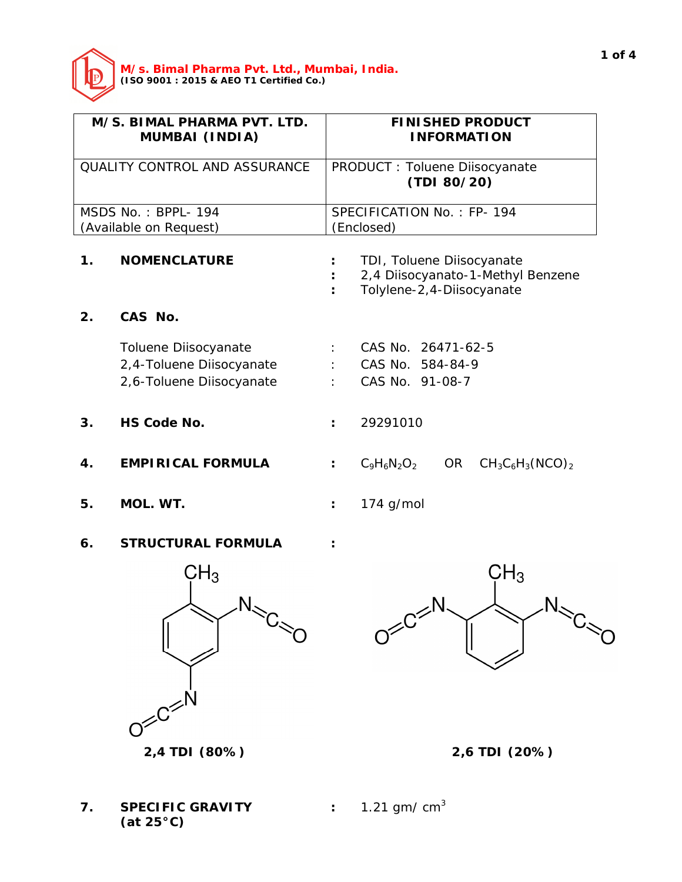

| M/S. BIMAL PHARMA PVT. LTD.<br><b>MUMBAI (INDIA)</b> |                          | <b>FINISHED PRODUCT</b><br><b>INFORMATION</b>                                                |  |  |  |
|------------------------------------------------------|--------------------------|----------------------------------------------------------------------------------------------|--|--|--|
| <b>QUALITY CONTROL AND ASSURANCE</b>                 |                          | PRODUCT : Toluene Diisocyanate<br>(TDI 80/20)                                                |  |  |  |
|                                                      | MSDS No.: BPPL-194       | SPECIFICATION No.: FP-194                                                                    |  |  |  |
| (Available on Request)                               |                          | (Enclosed)                                                                                   |  |  |  |
| $\mathbf 1$ .                                        | <b>NOMENCLATURE</b>      | TDI, Toluene Diisocyanate<br>2,4 Diisocyanato-1-Methyl Benzene<br>Tolylene-2, 4-Diisocyanate |  |  |  |
| 2.                                                   | CAS No.                  |                                                                                              |  |  |  |
|                                                      | Toluene Diisocyanate     | CAS No. 26471-62-5                                                                           |  |  |  |
|                                                      | 2,4-Toluene Diisocyanate | CAS No. 584-84-9                                                                             |  |  |  |
|                                                      | 2,6-Toluene Diisocyanate | CAS No. 91-08-7                                                                              |  |  |  |
| 3.                                                   | <b>HS Code No.</b>       | 29291010                                                                                     |  |  |  |
| 4.                                                   | <b>EMPIRICAL FORMULA</b> | $C_9H_6N_2O_2$<br>OR<br>$CH_3C_6H_3(NCO)_2$<br>$\ddot{\phantom{a}}$                          |  |  |  |
| 5.                                                   | MOL. WT.                 | $174$ g/mol                                                                                  |  |  |  |

**6. STRUCTURAL FORMULA :**



 $CH<sub>3</sub>$  $D^{\leq C^{\leq N}$  $N_{\rm s}$ 



**7. SPECIFIC GRAVITY :** 1.21 gm/ cm<sup>3</sup> **(at 25°C)**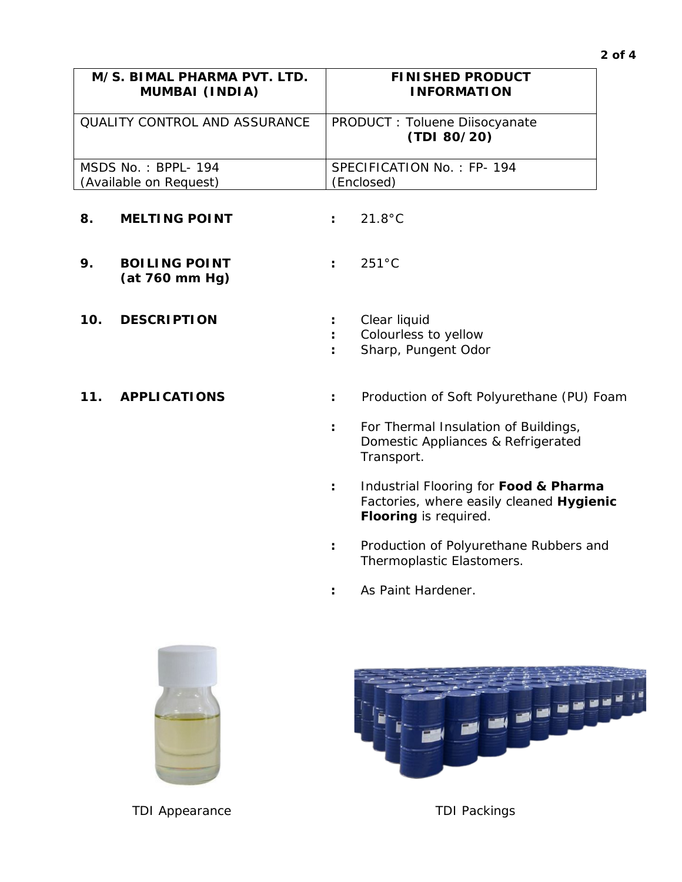| M/S. BIMAL PHARMA PVT. LTD.          | <b>FINISHED PRODUCT</b>                       |
|--------------------------------------|-----------------------------------------------|
| <b>MUMBAI (INDIA)</b>                | <b>INFORMATION</b>                            |
| <b>QUALITY CONTROL AND ASSURANCE</b> | PRODUCT : Toluene Diisocyanate<br>(TDI 80/20) |
| $MSDS No.: BPPL-194$                 | SPECIFICATION No.: FP-194                     |
| (Available on Request)               | (Enclosed)                                    |

- **8. MELTING POINT :** 21.8°C
- **9. BOILING POINT :** 251°C **(at 760 mm Hg)**
- **10. DESCRIPTION :** Clear liquid
- 
- 
- **:** Colourless to yellow
- **:** Sharp, Pungent Odor
- **11. APPLICATIONS :** Production of Soft Polyurethane (PU) Foam
	- **:** For Thermal Insulation of Buildings, Domestic Appliances & Refrigerated Transport.
	- **:** Industrial Flooring for **Food & Pharma** Factories, where easily cleaned **Hygienic Flooring** is required.
	- **:** Production of Polyurethane Rubbers and Thermoplastic Elastomers.
	- **:** As Paint Hardener.



TDI Appearance TDI Packings

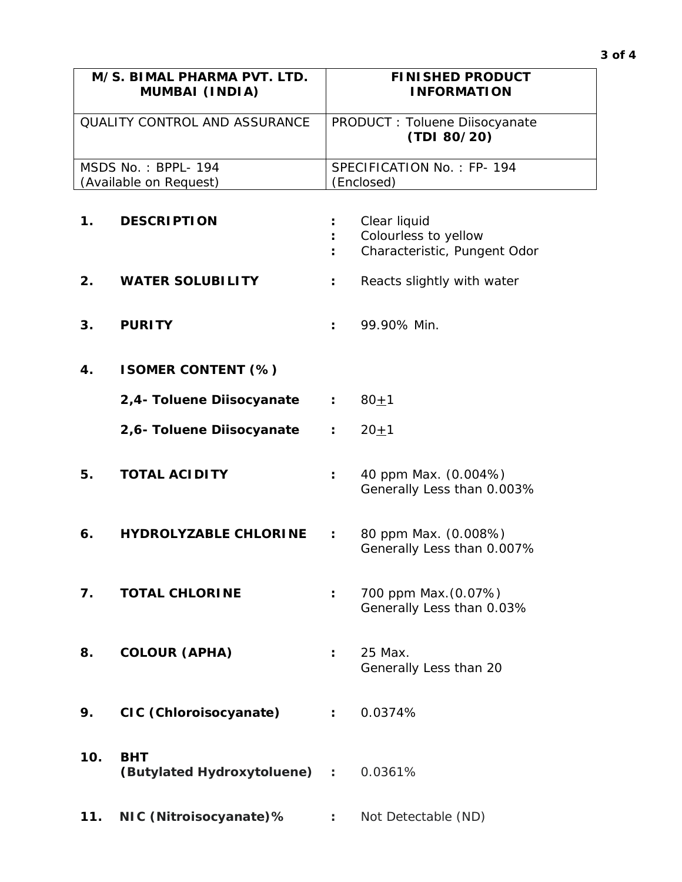| M/S. BIMAL PHARMA PVT. LTD.   | <b>FINISHED PRODUCT</b>                      |
|-------------------------------|----------------------------------------------|
| <b>MUMBAI (INDIA)</b>         | <b>INFORMATION</b>                           |
| OUALITY CONTROL AND ASSURANCE | PRODUCT: Toluene Diisocyanate<br>(TDI 80/20) |
| MSDS No.: BPPL-194            | SPECIFICATION No.: FP-194                    |
| (Available on Request)        | (Enclosed)                                   |

| 1.  | <b>DESCRIPTION</b>                         |                      | Clear liquid<br>Colourless to yellow<br>Characteristic, Pungent Odor |
|-----|--------------------------------------------|----------------------|----------------------------------------------------------------------|
| 2.  | <b>WATER SOLUBILITY</b>                    | $\ddot{\phantom{a}}$ | Reacts slightly with water                                           |
| 3.  | <b>PURITY</b>                              |                      | 99.90% Min.                                                          |
| 4.  | <b>ISOMER CONTENT (%)</b>                  |                      |                                                                      |
|     | 2,4- Toluene Diisocyanate                  | $\ddot{\phantom{a}}$ | $80 + 1$                                                             |
|     | 2,6- Toluene Diisocyanate                  | $\ddot{\phantom{a}}$ | $20 + 1$                                                             |
| 5.  | <b>TOTAL ACIDITY</b>                       | $\ddot{\phantom{a}}$ | 40 ppm Max. (0.004%)<br>Generally Less than 0.003%                   |
| 6.  | <b>HYDROLYZABLE CHLORINE</b>               | $\ddot{\phantom{a}}$ | 80 ppm Max. (0.008%)<br>Generally Less than 0.007%                   |
| 7.  | <b>TOTAL CHLORINE</b>                      | ÷                    | 700 ppm Max. (0.07%)<br>Generally Less than 0.03%                    |
| 8.  | <b>COLOUR (APHA)</b>                       | $\ddot{\cdot}$       | 25 Max.<br>Generally Less than 20                                    |
| א.  | CIC (Chloroisocyanate)                     |                      | 0.0374%                                                              |
| 10. | <b>BHT</b><br>(Butylated Hydroxytoluene) : |                      | 0.0361%                                                              |
| 11. | NIC (Nitroisocyanate)%                     | $\mathbb{Z}^2$       | Not Detectable (ND)                                                  |